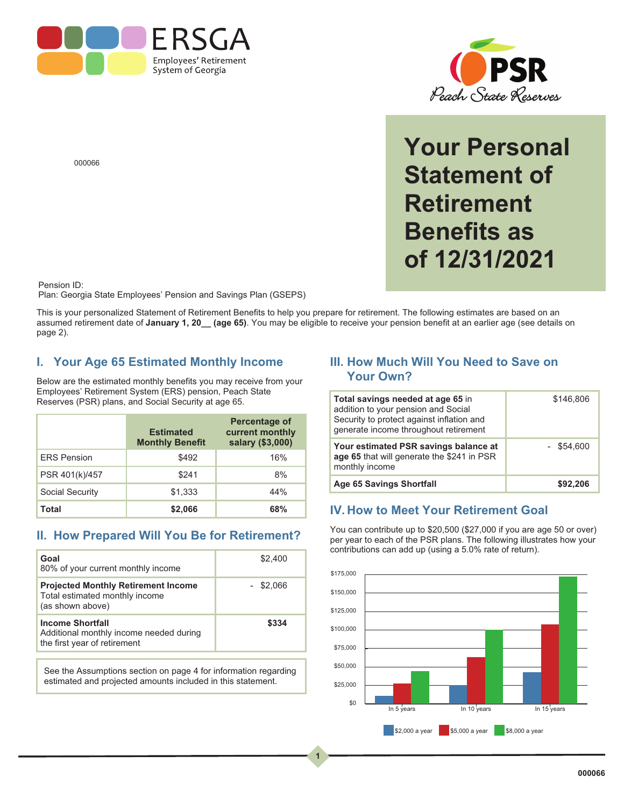



**Your Personal Statement of Retirement Benefits as of 12/31/2021**

000066

Pension ID:

Plan: Georgia State Employees' Pension and Savings Plan (GSEPS)

This is your personalized Statement of Retirement Benefits to help you prepare for retirement. The following estimates are based on an assumed retirement date of **January 1, 20\_\_ (age 65)**. You may be eligible to receive your pension benefit at an earlier age (see details on page 2).

**1**

#### **I. Your Age 65 Estimated Monthly Income**

Below are the estimated monthly benefits you may receive from your Employees' Retirement System (ERS) pension, Peach State Reserves (PSR) plans, and Social Security at age 65.

|                    | <b>Estimated</b><br><b>Monthly Benefit</b> | <b>Percentage of</b><br>current monthly<br>salary (\$3,000) |
|--------------------|--------------------------------------------|-------------------------------------------------------------|
| <b>ERS Pension</b> | \$492                                      | 16%                                                         |
| PSR 401(k)/457     | \$241                                      | 8%                                                          |
| Social Security    | \$1,333                                    | 44%                                                         |
| Total              | \$2.066                                    | 68%                                                         |

#### **II. How Prepared Will You Be for Retirement?**

| Goal<br>80% of your current monthly income                                                         | \$2,400     |
|----------------------------------------------------------------------------------------------------|-------------|
| <b>Projected Monthly Retirement Income</b><br>Total estimated monthly income<br>(as shown above)   | $-$ \$2,066 |
| <b>Income Shortfall</b><br>Additional monthly income needed during<br>the first year of retirement | \$334       |

See the Assumptions section on page 4 for information regarding estimated and projected amounts included in this statement.

#### **III. How Much Will You Need to Save on Your Own?**

| Total savings needed at age 65 in<br>addition to your pension and Social<br>Security to protect against inflation and<br>generate income throughout retirement | \$146,806    |
|----------------------------------------------------------------------------------------------------------------------------------------------------------------|--------------|
| Your estimated PSR savings balance at<br>age 65 that will generate the \$241 in PSR<br>monthly income                                                          | $-$ \$54.600 |
| Age 65 Savings Shortfall                                                                                                                                       | \$92,206     |

#### **IV. How to Meet Your Retirement Goal**

You can contribute up to \$20,500 (\$27,000 if you are age 50 or over) per year to each of the PSR plans. The following illustrates how your contributions can add up (using a 5.0% rate of return).

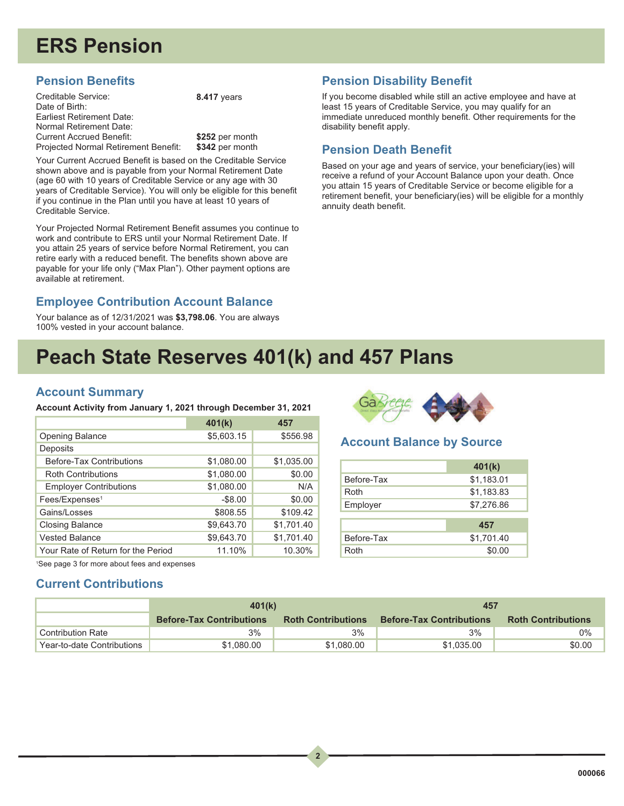# **ERS Pension**

#### **Pension Benefits**

Creditable Service: Date of Birth: Earliest Retirement Date: Normal Retirement Date: Current Accrued Benefit: Projected Normal Retirement Benefit:

**8.417** years

**\$252** per month **\$342** per month

Your Current Accrued Benefit is based on the Creditable Service shown above and is payable from your Normal Retirement Date (age 60 with 10 years of Creditable Service or any age with 30 years of Creditable Service). You will only be eligible for this benefit if you continue in the Plan until you have at least 10 years of Creditable Service.

Your Projected Normal Retirement Benefit assumes you continue to work and contribute to ERS until your Normal Retirement Date. If you attain 25 years of service before Normal Retirement, you can retire early with a reduced benefit. The benefits shown above are payable for your life only ("Max Plan"). Other payment options are available at retirement.

### **Employee Contribution Account Balance**

Your balance as of 12/31/2021 was **\$3,798.06**. You are always 100% vested in your account balance.

#### **Pension Disability Benefit**

If you become disabled while still an active employee and have at least 15 years of Creditable Service, you may qualify for an immediate unreduced monthly benefit. Other requirements for the disability benefit apply.

#### **Pension Death Benefit**

Based on your age and years of service, your beneficiary(ies) will receive a refund of your Account Balance upon your death. Once you attain 15 years of Creditable Service or become eligible for a retirement benefit, your beneficiary(ies) will be eligible for a monthly annuity death benefit.

### **Peach State Reserves 401(k) and 457 Plans**

#### **Account Summary**

**Account Activity from January 1, 2021 through December 31, 2021**

|                                    | 401(k)     | 457        |
|------------------------------------|------------|------------|
| <b>Opening Balance</b>             | \$5,603.15 | \$556.98   |
| Deposits                           |            |            |
| Before-Tax Contributions           | \$1,080.00 | \$1,035.00 |
| <b>Roth Contributions</b>          | \$1,080.00 | \$0.00     |
| <b>Employer Contributions</b>      | \$1,080.00 | N/A        |
| Fees/Expenses <sup>1</sup>         | $-$ \$8.00 | \$0.00     |
| Gains/Losses                       | \$808.55   | \$109.42   |
| <b>Closing Balance</b>             | \$9,643.70 | \$1,701.40 |
| <b>Vested Balance</b>              | \$9,643.70 | \$1,701.40 |
| Your Rate of Return for the Period | 11.10%     | 10.30%     |



#### **Account Balance by Source**

|            | 401(k)     |
|------------|------------|
| Before-Tax | \$1,183.01 |
| Roth       | \$1,183.83 |
| Employer   | \$7,276.86 |
|            |            |
|            | 457        |
| Before-Tax | \$1,701.40 |
| Roth       | \$0.00     |

1 See page 3 for more about fees and expenses

#### **Current Contributions**

|                            | 401(k)                          |                           | 457                             |                           |
|----------------------------|---------------------------------|---------------------------|---------------------------------|---------------------------|
|                            | <b>Before-Tax Contributions</b> | <b>Roth Contributions</b> | <b>Before-Tax Contributions</b> | <b>Roth Contributions</b> |
| <b>Contribution Rate</b>   | 3%                              | 3%                        | 3%                              | $0\%$                     |
| Year-to-date Contributions | \$1,080,00                      | \$1,080,00                | \$1.035.00                      | \$0.00                    |

 $\overline{\phantom{a}}$ 

**2**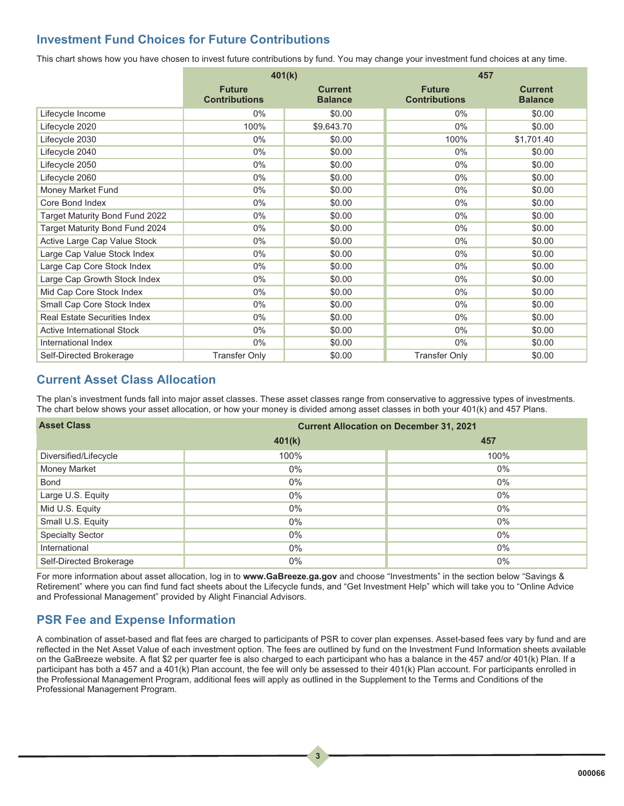#### **Investment Fund Choices for Future Contributions**

This chart shows how you have chosen to invest future contributions by fund. You may change your investment fund choices at any time.

|                                     | 401(k)                                |                                  | 457                                   |                                  |
|-------------------------------------|---------------------------------------|----------------------------------|---------------------------------------|----------------------------------|
|                                     | <b>Future</b><br><b>Contributions</b> | <b>Current</b><br><b>Balance</b> | <b>Future</b><br><b>Contributions</b> | <b>Current</b><br><b>Balance</b> |
| Lifecycle Income                    | $0\%$                                 | \$0.00                           | $0\%$                                 | \$0.00                           |
| Lifecycle 2020                      | 100%                                  | \$9,643.70                       | $0\%$                                 | \$0.00                           |
| Lifecycle 2030                      | $0\%$                                 | \$0.00                           | 100%                                  | \$1,701.40                       |
| Lifecycle 2040                      | $0\%$                                 | \$0.00                           | $0\%$                                 | \$0.00                           |
| Lifecycle 2050                      | $0\%$                                 | \$0.00                           | $0\%$                                 | \$0.00                           |
| Lifecycle 2060                      | $0\%$                                 | \$0.00                           | $0\%$                                 | \$0.00                           |
| <b>Money Market Fund</b>            | $0\%$                                 | \$0.00                           | $0\%$                                 | \$0.00                           |
| Core Bond Index                     | 0%                                    | \$0.00                           | 0%                                    | \$0.00                           |
| Target Maturity Bond Fund 2022      | $0\%$                                 | \$0.00                           | $0\%$                                 | \$0.00                           |
| Target Maturity Bond Fund 2024      | $0\%$                                 | \$0.00                           | $0\%$                                 | \$0.00                           |
| Active Large Cap Value Stock        | 0%                                    | \$0.00                           | $0\%$                                 | \$0.00                           |
| Large Cap Value Stock Index         | $0\%$                                 | \$0.00                           | $0\%$                                 | \$0.00                           |
| Large Cap Core Stock Index          | $0\%$                                 | \$0.00                           | $0\%$                                 | \$0.00                           |
| Large Cap Growth Stock Index        | $0\%$                                 | \$0.00                           | $0\%$                                 | \$0.00                           |
| Mid Cap Core Stock Index            | $0\%$                                 | \$0.00                           | $0\%$                                 | \$0.00                           |
| Small Cap Core Stock Index          | $0\%$                                 | \$0.00                           | $0\%$                                 | \$0.00                           |
| <b>Real Estate Securities Index</b> | $0\%$                                 | \$0.00                           | $0\%$                                 | \$0.00                           |
| <b>Active International Stock</b>   | $0\%$                                 | \$0.00                           | $0\%$                                 | \$0.00                           |
| International Index                 | $0\%$                                 | \$0.00                           | $0\%$                                 | \$0.00                           |
| Self-Directed Brokerage             | <b>Transfer Only</b>                  | \$0.00                           | <b>Transfer Only</b>                  | \$0.00                           |

#### **Current Asset Class Allocation**

The plan's investment funds fall into major asset classes. These asset classes range from conservative to aggressive types of investments. The chart below shows your asset allocation, or how your money is divided among asset classes in both your 401(k) and 457 Plans.

| <b>Asset Class</b>      | <b>Current Allocation on December 31, 2021</b> |       |  |  |
|-------------------------|------------------------------------------------|-------|--|--|
|                         | 401(k)                                         | 457   |  |  |
| Diversified/Lifecycle   | 100%                                           | 100%  |  |  |
| <b>Money Market</b>     | $0\%$                                          | $0\%$ |  |  |
| <b>Bond</b>             | $0\%$                                          | $0\%$ |  |  |
| Large U.S. Equity       | $0\%$                                          | $0\%$ |  |  |
| Mid U.S. Equity         | $0\%$                                          | $0\%$ |  |  |
| Small U.S. Equity       | $0\%$                                          | $0\%$ |  |  |
| <b>Specialty Sector</b> | $0\%$                                          | $0\%$ |  |  |
| International           | $0\%$                                          | $0\%$ |  |  |
| Self-Directed Brokerage | $0\%$                                          | $0\%$ |  |  |

For more information about asset allocation, log in to **www.GaBreeze.ga.gov** and choose "Investments" in the section below "Savings & Retirement" where you can find fund fact sheets about the Lifecycle funds, and "Get Investment Help" which will take you to "Online Advice and Professional Management" provided by Alight Financial Advisors.

#### **PSR Fee and Expense Information**

A combination of asset-based and flat fees are charged to participants of PSR to cover plan expenses. Asset-based fees vary by fund and are reflected in the Net Asset Value of each investment option. The fees are outlined by fund on the Investment Fund Information sheets available on the GaBreeze website. A flat \$2 per quarter fee is also charged to each participant who has a balance in the 457 and/or 401(k) Plan. If a participant has both a 457 and a 401(k) Plan account, the fee will only be assessed to their 401(k) Plan account. For participants enrolled in the Professional Management Program, additional fees will apply as outlined in the Supplement to the Terms and Conditions of the Professional Management Program.

 $\begin{array}{|c|c|} \hline 3 \\ \hline \end{array}$ 

**3**